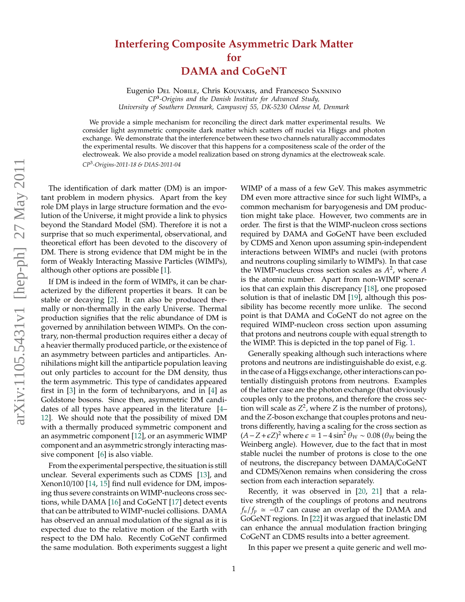## **Interfering Composite Asymmetric Dark Matter for DAMA and CoGeNT**

Eugenio Del Nobile, Chris Kouvaris, and Francesco Sannino *CP***<sup>3</sup>** *-Origins and the Danish Institute for Advanced Study, University of Southern Denmark, Campusvej 55, DK-5230 Odense M, Denmark*

We provide a simple mechanism for reconciling the direct dark matter experimental results. We consider light asymmetric composite dark matter which scatters off nuclei via Higgs and photon exchange. We demonstrate that the interference between these two channels naturally accommodates the experimental results. We discover that this happens for a compositeness scale of the order of the electroweak. We also provide a model realization based on strong dynamics at the electroweak scale. *CP*<sup>3</sup> *-Origins-2011-18 & DIAS-2011-04*

The identification of dark matter (DM) is an important problem in modern physics. Apart from the key role DM plays in large structure formation and the evolution of the Universe, it might provide a link to physics beyond the Standard Model (SM). Therefore it is not a surprise that so much experimental, observational, and theoretical effort has been devoted to the discovery of DM. There is strong evidence that DM might be in the form of Weakly Interacting Massive Particles (WIMPs), although other options are possible [\[1\]](#page-3-0).

If DM is indeed in the form of WIMPs, it can be characterized by the different properties it bears. It can be stable or decaying [\[2\]](#page-3-1). It can also be produced thermally or non-thermally in the early Universe. Thermal production signifies that the relic abundance of DM is governed by annihilation between WIMPs. On the contrary, non-thermal production requires either a decay of a heavier thermally produced particle, or the existence of an asymmetry between particles and antiparticles. Annihilations might kill the antiparticle population leaving out only particles to account for the DM density, thus the term asymmetric. This type of candidates appeared first in [\[3\]](#page-3-2) in the form of technibaryons, and in [\[4\]](#page-3-3) as Goldstone bosons. Since then, asymmetric DM candidates of all types have appeared in the literature [\[4–](#page-3-3) [12\]](#page-3-4). We should note that the possibility of mixed DM with a thermally produced symmetric component and an asymmetric component [\[12\]](#page-3-4), or an asymmeric WIMP component and an asymmetric strongly interacting massive component [\[6\]](#page-3-5) is also viable.

From the experimental perspective, the situation is still unclear. Several experiments such as CDMS [\[13\]](#page-3-6), and Xenon10/100 [\[14,](#page-3-7) [15\]](#page-3-8) find null evidence for DM, imposing thus severe constraints on WIMP-nucleons cross sections, while DAMA [\[16\]](#page-3-9) and CoGeNT [\[17\]](#page-3-10) detect events that can be attributed to WIMP-nuclei collisions. DAMA has observed an annual modulation of the signal as it is expected due to the relative motion of the Earth with respect to the DM halo. Recently CoGeNT confirmed the same modulation. Both experiments suggest a light

WIMP of a mass of a few GeV. This makes asymmetric DM even more attractive since for such light WIMPs, a common mechanism for baryogenesis and DM production might take place. However, two comments are in order. The first is that the WIMP-nucleon cross sections required by DAMA and GoGeNT have been excluded by CDMS and Xenon upon assuming spin-independent interactions between WIMPs and nuclei (with protons and neutrons coupling similarly to WIMPs). In that case the WIMP-nucleus cross section scales as *A* 2 , where *A* is the atomic number. Apart from non-WIMP scenarios that can explain this discrepancy [\[18\]](#page-3-11), one proposed solution is that of inelastic DM [\[19\]](#page-3-12), although this possibility has become recently more unlike. The second point is that DAMA and CoGeNT do not agree on the required WIMP-nucleon cross section upon assuming that protons and neutrons couple with equal strength to the WIMP. This is depicted in the top panel of Fig. [1.](#page-2-0)

Generally speaking although such interactions where protons and neutrons are indistinguishable do exist, e.g. in the case of a Higgs exchange, other interactions can potentially distinguish protons from neutrons. Examples of the latter case are the photon exchange (that obviously couples only to the protons, and therefore the cross section will scale as  $Z^2$ , where *Z* is the number of protons), and the *Z*-boson exchange that couples protons and neutrons differently, having a scaling for the cross section as  $(A - Z + \epsilon Z)^2$  where  $\epsilon = 1 - 4 \sin^2 \theta_W \sim 0.08$  ( $\theta_W$  being the Weinberg angle). However, due to the fact that in most stable nuclei the number of protons is close to the one of neutrons, the discrepancy between DAMA/CoGeNT and CDMS/Xenon remains when considering the cross section from each interaction separately.

Recently, it was observed in [\[20,](#page-3-13) [21\]](#page-3-14) that a relative strength of the couplings of protons and neutrons  $f_n/f_p \approx -0.7$  can cause an overlap of the DAMA and GoGeNT regions. In [\[22\]](#page-3-15) it was argued that inelastic DM can enhance the annual modulation fraction bringing CoGeNT an CDMS results into a better agreement.

In this paper we present a quite generic and well mo-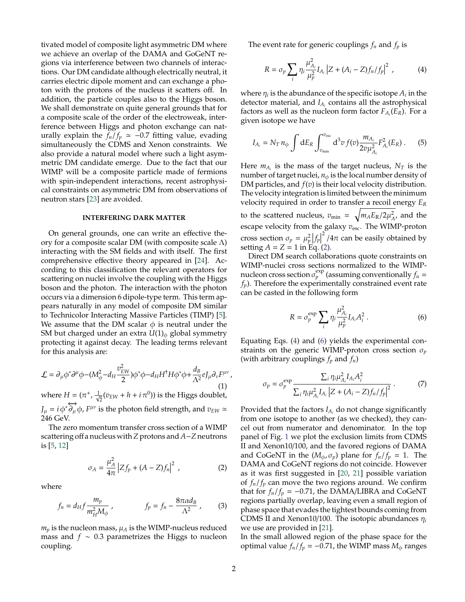tivated model of composite light asymmetric DM where we achieve an overlap of the DAMA and GoGeNT regions via interference between two channels of interactions. Our DM candidate although electrically neutral, it carries electric dipole moment and can exchange a photon with the protons of the nucleus it scatters off. In addition, the particle couples also to the Higgs boson. We shall demonstrate on quite general grounds that for a composite scale of the order of the electroweak, interference between Higgs and photon exchange can naturally explain the  $f_n/f_p \approx -0.7$  fitting value, evading simultaneously the CDMS and Xenon constraints. We also provide a natural model where such a light asymmetric DM candidate emerge. Due to the fact that our WIMP will be a composite particle made of fermions with spin-independent interactions, recent astrophysical constraints on asymmetric DM from observations of neutron stars [\[23\]](#page-3-16) are avoided.

## **INTERFERING DARK MATTER**

On general grounds, one can write an effective theory for a composite scalar DM (with composite scale  $\Lambda$ ) interacting with the SM fields and with itself. The first comprehensive effective theory appeared in [\[24\]](#page-3-17). According to this classification the relevant operators for scattering on nuclei involve the coupling with the Higgs boson and the photon. The interaction with the photon occurs via a dimension 6 dipole-type term. This term appears naturally in any model of composite DM similar to Technicolor Interacting Massive Particles (TIMP) [\[5\]](#page-3-18). We assume that the DM scalar  $\phi$  is neutral under the SM but charged under an extra  $U(1)_{\phi}$  global symmetry protecting it against decay. The leading terms relevant for this analysis are:

<span id="page-1-4"></span>
$$
\mathcal{L} = \partial_{\mu}\phi^*\partial^{\mu}\phi - (M_{\phi}^2 - d_H \frac{v_{EW}^2}{2})\phi^*\phi - d_H H^{\dagger}H\phi^*\phi + \frac{d_B}{\Lambda^2}eJ_{\mu}\partial_{\nu}F^{\mu\nu},\tag{1}
$$

where  $H = (\pi^+, \frac{1}{\sqrt{2}})$  $\frac{1}{2}(v_{EW} + h + i\,\pi^0)$ ) is the Higgs doublet,  $J_\mu = i \phi^* \overleftrightarrow{\partial_\mu} \phi$ ,  $F^{\mu\nu}$  is the photon field strength, and  $v_{EW} \simeq$ 246 GeV.

The zero momentum transfer cross section of a WIMP scattering off a nucleus with*Z*protons and *A*−*Z*neutrons is [\[5,](#page-3-18) [12\]](#page-3-4)

<span id="page-1-0"></span>
$$
\sigma_A = \frac{\mu_A^2}{4\pi} \left| Z f_p + (A - Z) f_n \right|^2 , \qquad (2)
$$

where

<span id="page-1-3"></span>
$$
f_n = d_H f \frac{m_p}{m_H^2 M_\phi} , \qquad f_p = f_n - \frac{8\pi \alpha d_B}{\Lambda^2} , \qquad (3)
$$

 $m_p$  is the nucleon mass,  $\mu_A$  is the WIMP-nucleus reduced mass and *f* ∼ 0.3 parametrizes the Higgs to nucleon coupling.

The event rate for generic couplings  $f_n$  and  $f_p$  is

<span id="page-1-1"></span>
$$
R = \sigma_p \sum_{i} \eta_i \frac{\mu_{A_i}^2}{\mu_p^2} I_{A_i} \left| Z + (A_i - Z) f_n / f_p \right|^2 , \qquad (4)
$$

where  $\eta_i$  is the abundance of the specific isotope  $A_i$  in the detector material, and *I<sup>A</sup><sup>i</sup>* contains all the astrophysical factors as well as the nucleon form factor *F<sup>A</sup><sup>i</sup>* (*ER*). For a given isotope we have

$$
I_{A_i} = N_T n_{\phi} \int dE_R \int_{v_{\rm min}}^{v_{\rm esc}} d^3 v f(v) \frac{m_{A_i}}{2v \mu_{A_i}^2} F_{A_i}^2(E_R) \,. \tag{5}
$$

Here  $m_{A_i}$  is the mass of the target nucleus,  $N_T$  is the number of target nuclei,  $n_{\phi}$  is the local number density of DM particles, and *f*(*v*) is their local velocity distribution. The velocity integration is limited between the minimum velocity required in order to transfer a recoil energy *E<sup>R</sup>* to the scattered nucleus,  $v_{\text{min}} = \sqrt{m_A E_R/2\mu_A^2}$ , and the escape velocity from the galaxy  $v_{\text{esc}}$ . The WIMP-proton cross section  $\sigma_p = \mu_p^2 |f_p|$  $2^{2}/4\pi$  can be easily obtained by setting  $A = Z = 1$  in Eq. [\(2\)](#page-1-0).

Direct DM search collaborations quote constraints on WIMP-nuclei cross sections normalized to the WIMPnucleon cross section  $\sigma_p^{\text{exp}}$  (assuming conventionally  $f_n$  = *fp*). Therefore the experimentally constrained event rate can be casted in the following form

<span id="page-1-2"></span>
$$
R = \sigma_p^{\exp} \sum_i \eta_i \frac{\mu_{A_i}^2}{\mu_p^2} I_{A_i} A_i^2 \,. \tag{6}
$$

Equating Eqs. [\(4\)](#page-1-1) and [\(6\)](#page-1-2) yields the experimental constraints on the generic WIMP-proton cross section σ*<sup>p</sup>* (with arbitrary couplings *f<sup>p</sup>* and *fn*)

$$
\sigma_p = \sigma_p^{\exp} \frac{\sum_i \eta_i \mu_{A_i}^2 I_{A_i} A_i^2}{\sum_i \eta_i \mu_{A_i}^2 I_{A_i} |Z + (A_i - Z) f_n / f_p|^2} \,. \tag{7}
$$

Provided that the factors *I<sup>A</sup><sup>i</sup>* do not change significantly from one isotope to another (as we checked), they cancel out from numerator and denominator. In the top panel of Fig. [1](#page-2-0) we plot the exclusion limits from CDMS II and Xenon10/100, and the favored regions of DAMA and CoGeNT in the  $(M_\phi, \sigma_p)$  plane for  $f_n/f_p = 1$ . The DAMA and CoGeNT regions do not coincide. However as it was first suggested in [\[20,](#page-3-13) [21\]](#page-3-14) possible variation of  $f_n/f_p$  can move the two regions around. We confirm that for  $f_n/f_p = -0.71$ , the DAMA/LIBRA and CoGeNT regions partially overlap, leaving even a small region of phase space that evades the tightest bounds coming from CDMS II and Xenon10/100. The isotopic abundances  $\eta_i$ we use are provided in [\[21\]](#page-3-14).

In the small allowed region of the phase space for the optimal value  $f_n/f_p = -0.71$ , the WIMP mass  $M_\phi$  ranges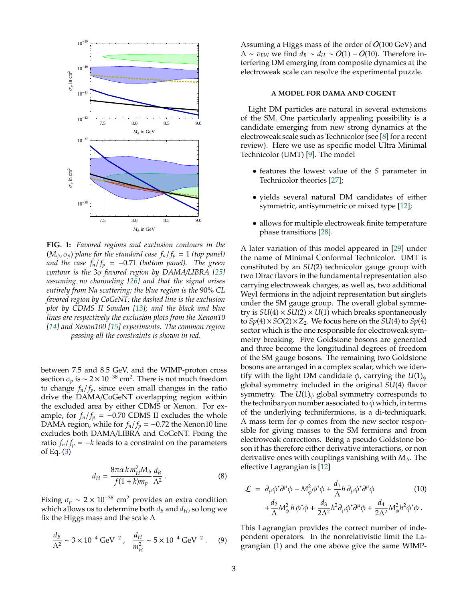

<span id="page-2-0"></span>**FIG. 1:** *Favored regions and exclusion contours in the*  $(M_{\phi}, \sigma_p)$  *plane for the standard case*  $f_n/f_p = 1$  *(top panel) and the case*  $f_n/f_p = -0.71$  *(bottom panel). The green contour is the* 3σ *favored region by DAMA*/*LIBRA [\[25\]](#page-3-19) assuming no channeling [\[26\]](#page-3-20) and that the signal arises entirely from Na scattering; the blue region is the* 90% *CL favored region by CoGeNT; the dashed line is the exclusion plot by CDMS II Soudan [\[13\]](#page-3-6); and the black and blue lines are respectively the exclusion plots from the Xenon10 [\[14\]](#page-3-7) and Xenon100 [\[15\]](#page-3-8) experiments. The common region passing all the constraints is shown in red.*

between 7.5 and 8.5 GeV, and the WIMP-proton cross section  $\sigma_p$  is ~ 2 × 10<sup>-38</sup> cm<sup>2</sup>. There is not much freedom to change  $f_n/f_p$ , since even small changes in the ratio drive the DAMA/CoGeNT overlapping region within the excluded area by either CDMS or Xenon. For example, for  $f_n/f_p = -0.70$  CDMS II excludes the whole DAMA region, while for  $f_n/f_p = -0.72$  the Xenon10 line excludes both DAMA/LIBRA and CoGeNT. Fixing the ratio  $f_n/f_p = -k$  leads to a constraint on the parameters of Eq. [\(3\)](#page-1-3)

$$
d_H = \frac{8\pi\alpha k m_H^2 M_\phi}{f(1+k)m_p} \frac{d_B}{\Lambda^2} \,. \tag{8}
$$

Fixing  $\sigma_p \sim 2 \times 10^{-38}$  cm<sup>2</sup> provides an extra condition which allows us to determine both  $d_B$  and  $d_H$ , so long we fix the Higgs mass and the scale  $\Lambda$ 

$$
\frac{d_B}{\Lambda^2} \sim 3 \times 10^{-4} \text{ GeV}^{-2}, \quad \frac{d_H}{m_H^2} \sim 5 \times 10^{-4} \text{ GeV}^{-2}. \tag{9}
$$

Assuming a Higgs mass of the order of  $O(100 \text{ GeV})$  and  $\Lambda \sim v_{EW}$  we find  $d_B \sim d_H \sim O(1) - O(10)$ . Therefore interfering DM emerging from composite dynamics at the electroweak scale can resolve the experimental puzzle.

## **A MODEL FOR DAMA AND COGENT**

Light DM particles are natural in several extensions of the SM. One particularly appealing possibility is a candidate emerging from new strong dynamics at the electroweak scale such as Technicolor (see [\[8\]](#page-3-21) for a recent review). Here we use as specific model Ultra Minimal Technicolor (UMT) [\[9\]](#page-3-22). The model

- features the lowest value of the *S* parameter in Technicolor theories [\[27\]](#page-3-23);
- yields several natural DM candidates of either symmetric, antisymmetric or mixed type [\[12\]](#page-3-4);
- allows for multiple electroweak finite temperature phase transitions [\[28\]](#page-3-24).

A later variation of this model appeared in [\[29\]](#page-3-25) under the name of Minimal Conformal Technicolor. UMT is constituted by an *SU*(2) technicolor gauge group with two Dirac flavors in the fundamental representation also carrying electroweak charges, as well as, two additional Weyl fermions in the adjoint representation but singlets under the SM gauge group. The overall global symmetry is  $SU(4) \times SU(2) \times U(1)$  which breaks spontaneously to  $Sp(4) \times SO(2) \times Z_2$ . We focus here on the  $SU(4)$  to  $Sp(4)$ sector which is the one responsible for electroweak symmetry breaking. Five Goldstone bosons are generated and three become the longitudinal degrees of freedom of the SM gauge bosons. The remaining two Goldstone bosons are arranged in a complex scalar, which we identify with the light DM candidate  $\phi$ , carrying the  $U(1)_{\phi}$ global symmetry included in the original *SU*(4) flavor symmetry. The  $U(1)_{\phi}$  global symmetry corresponds to the technibaryon number associated to  $\phi$  which, in terms of the underlying technifermions, is a di-techniquark. A mass term for  $\phi$  comes from the new sector responsible for giving masses to the SM fermions and from electroweak corrections. Being a pseudo Goldstone boson it has therefore either derivative interactions, or non derivative ones with couplings vanishing with *M*φ. The effective Lagrangian is [\[12\]](#page-3-4)

$$
\mathcal{L} = \partial_{\mu}\phi^*\partial^{\mu}\phi - M_{\phi}^2\phi^*\phi + \frac{d_1}{\Lambda}h\partial_{\mu}\phi^*\partial^{\mu}\phi
$$
\n
$$
+ \frac{d_2}{\Lambda}M_{\phi}^2h\phi^*\phi + \frac{d_3}{2\Lambda^2}h^2\partial_{\mu}\phi^*\partial^{\mu}\phi + \frac{d_4}{2\Lambda^2}M_{\phi}^2h^2\phi^*\phi.
$$
\n(10)

This Lagrangian provides the correct number of independent operators. In the nonrelativistic limit the Lagrangian [\(1\)](#page-1-4) and the one above give the same WIMP-